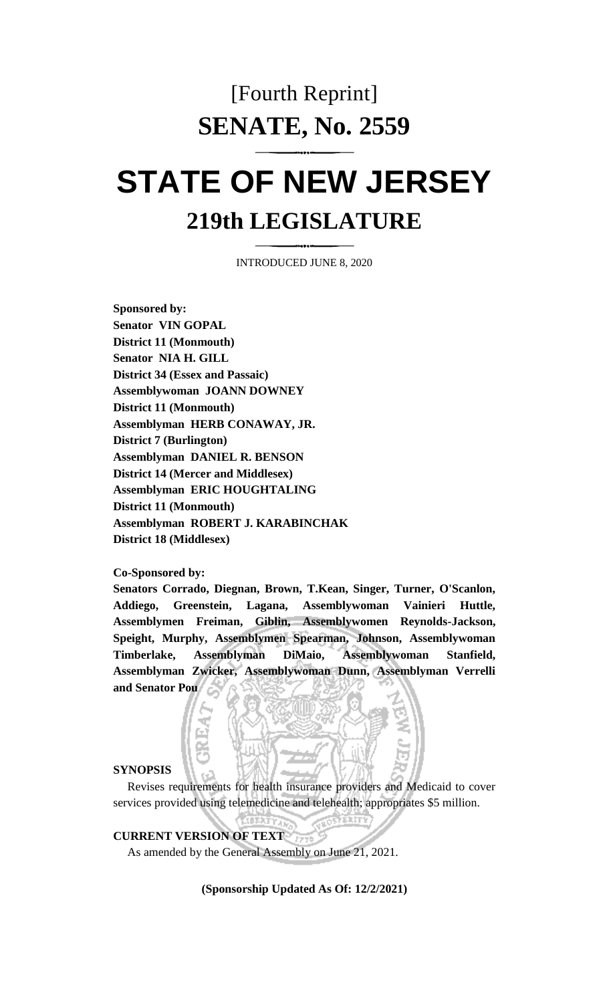## [Fourth Reprint] **SENATE, No. 2559**

# **STATE OF NEW JERSEY 219th LEGISLATURE**

INTRODUCED JUNE 8, 2020

**Sponsored by: Senator VIN GOPAL District 11 (Monmouth) Senator NIA H. GILL District 34 (Essex and Passaic) Assemblywoman JOANN DOWNEY District 11 (Monmouth) Assemblyman HERB CONAWAY, JR. District 7 (Burlington) Assemblyman DANIEL R. BENSON District 14 (Mercer and Middlesex) Assemblyman ERIC HOUGHTALING District 11 (Monmouth) Assemblyman ROBERT J. KARABINCHAK District 18 (Middlesex)**

**Co-Sponsored by:**

**Senators Corrado, Diegnan, Brown, T.Kean, Singer, Turner, O'Scanlon, Addiego, Greenstein, Lagana, Assemblywoman Vainieri Huttle, Assemblymen Freiman, Giblin, Assemblywomen Reynolds-Jackson, Speight, Murphy, Assemblymen Spearman, Johnson, Assemblywoman Timberlake, Assemblyman DiMaio, Assemblywoman Stanfield, Assemblyman Zwicker, Assemblywoman Dunn, Assemblyman Verrelli and Senator Pou**

#### **SYNOPSIS**

Revises requirements for health insurance providers and Medicaid to cover services provided using telemedicine and telehealth; appropriates \$5 million.

**CURRENT VERSION OF TEXT** 

As amended by the General Assembly on June 21, 2021.

**(Sponsorship Updated As Of: 12/2/2021)**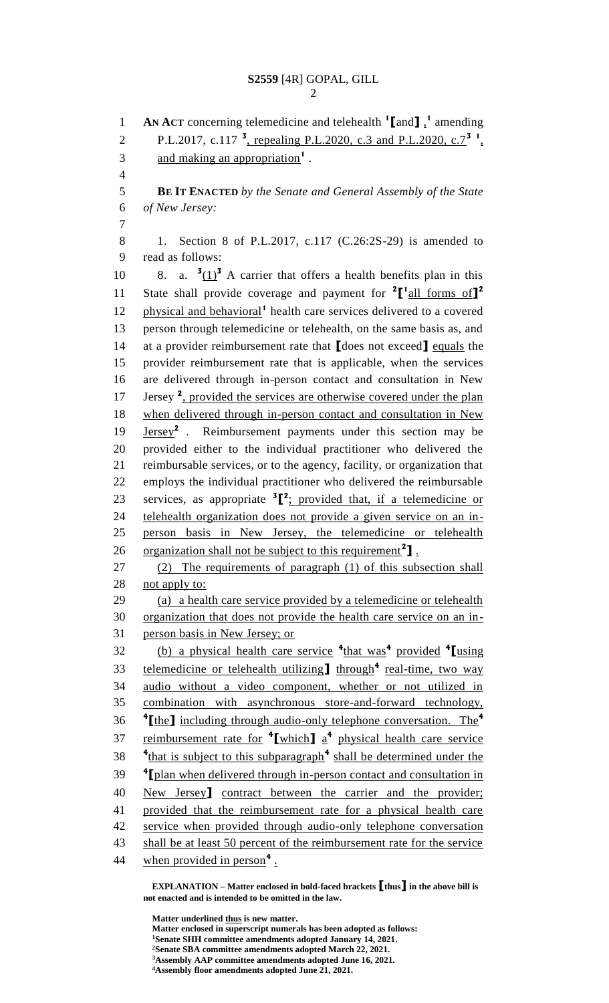**AN ACT** concerning telemedicine and telehealth **<sup>1</sup> [**and**]** , **1** amending 2 P.L.2017, c.117<sup>3</sup>, repealing P.L.2020, c.3 and P.L.2020, c.7<sup>3</sup><sup>1</sup>, 3 and making an appropriation<sup>1</sup>. **BE IT ENACTED** *by the Senate and General Assembly of the State of New Jersey:* 1. Section 8 of P.L.2017, c.117 (C.26:2S-29) is amended to read as follows: 10 8. a.  $\frac{3(1)^3}{2}$  A carrier that offers a health benefits plan in this State shall provide coverage and payment for <sup>2</sup>[<sup>1</sup><sub>all forms of</sub>]<sup>2</sup> 12 physical and behavioral<sup>1</sup> health care services delivered to a covered person through telemedicine or telehealth, on the same basis as, and at a provider reimbursement rate that **[**does not exceed**]** equals the provider reimbursement rate that is applicable, when the services are delivered through in-person contact and consultation in New 17 Jersey<sup>2</sup>, provided the services are otherwise covered under the plan when delivered through in-person contact and consultation in New 19 **Jersey<sup>2</sup>** . Reimbursement payments under this section may be provided either to the individual practitioner who delivered the reimbursable services, or to the agency, facility, or organization that employs the individual practitioner who delivered the reimbursable 23 services, as appropriate  ${}^{3}$  $[{}^{2}$ ; provided that, if a telemedicine or telehealth organization does not provide a given service on an in- person basis in New Jersey, the telemedicine or telehealth 26 organization shall not be subject to this requirement<sup>2</sup>]. (2) The requirements of paragraph (1) of this subsection shall 28 not apply to: (a) a health care service provided by a telemedicine or telehealth organization that does not provide the health care service on an in- person basis in New Jersey; or (b) a physical health care service **<sup>4</sup>** that was**<sup>4</sup>** provided **<sup>4</sup> [**using 33 telemedicine or telehealth utilizing through<sup>4</sup> real-time, two way audio without a video component, whether or not utilized in combination with asynchronous store-and-forward technology, **[**the**]** including through audio-only telephone conversation. The**<sup>4</sup>** reimbursement rate for **<sup>4</sup> [**which**]** a **4** physical health care service <sup>4</sup>that is subject to this subparagraph<sup>4</sup> shall be determined under the <sup>4</sup> [plan when delivered through in-person contact and consultation in New Jersey**]** contract between the carrier and the provider; provided that the reimbursement rate for a physical health care service when provided through audio-only telephone conversation 43 shall be at least 50 percent of the reimbursement rate for the service 44 when provided in person<sup>4</sup>.

**EXPLANATION – Matter enclosed in bold-faced brackets [thus] in the above bill is not enacted and is intended to be omitted in the law.**

**Matter underlined thus is new matter. Matter enclosed in superscript numerals has been adopted as follows: Senate SHH committee amendments adopted January 14, 2021. Senate SBA committee amendments adopted March 22, 2021. Assembly AAP committee amendments adopted June 16, 2021. Assembly floor amendments adopted June 21, 2021.**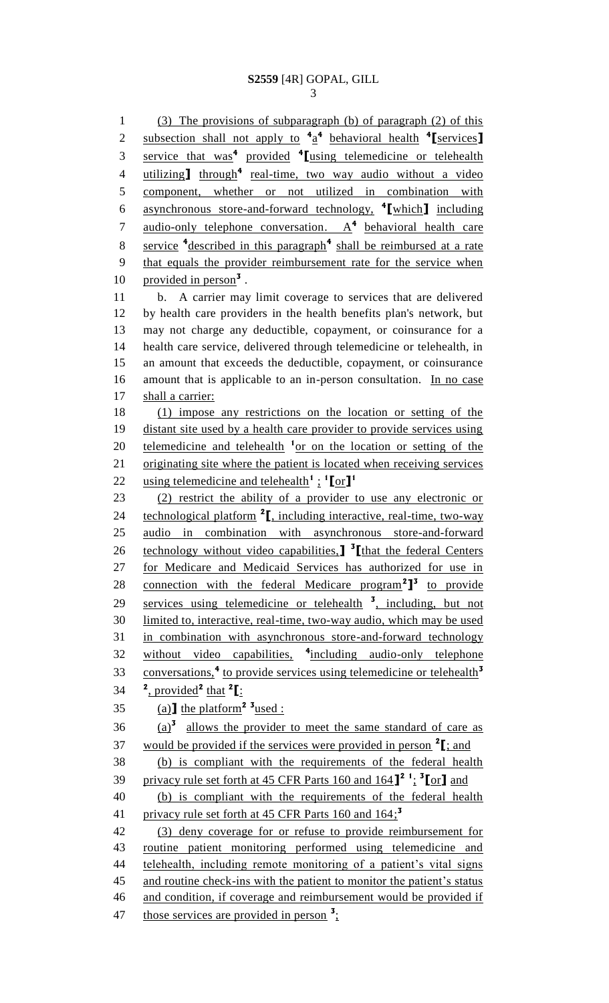1 (3) The provisions of subparagraph (b) of paragraph (2) of this subsection shall not apply to **<sup>4</sup>** a **4** behavioral health **<sup>4</sup>** 2 **[**services**]** service that was**<sup>4</sup>** provided **<sup>4</sup>** 3 **[**using telemedicine or telehealth 4 utilizing **I** through<sup>4</sup> real-time, two way audio without a video 5 component, whether or not utilized in combination with asynchronous store-and-forward technology, **<sup>4</sup>** 6 **[**which**]** including 7 audio-only telephone conversation. A<sup>4</sup> behavioral health care service **<sup>4</sup>** described in this paragraph**<sup>4</sup>** 8 shall be reimbursed at a rate 9 that equals the provider reimbursement rate for the service when 10 provided in person<sup>3</sup>. 11 b. A carrier may limit coverage to services that are delivered 12 by health care providers in the health benefits plan's network, but 13 may not charge any deductible, copayment, or coinsurance for a 14 health care service, delivered through telemedicine or telehealth, in 15 an amount that exceeds the deductible, copayment, or coinsurance 16 amount that is applicable to an in-person consultation. In no case 17 shall a carrier: 18 (1) impose any restrictions on the location or setting of the 19 distant site used by a health care provider to provide services using 20 telemedicine and telehealth <sup>1</sup> or on the location or setting of the 21 originating site where the patient is located when receiving services using telemedicine and telehealth**<sup>1</sup>** ; **1 [**or**] 1** 22 23 (2) restrict the ability of a provider to use any electronic or 24 **technological platform <sup>2</sup>I**, including interactive, real-time, two-way 25 audio in combination with asynchronous store-and-forward 26 **technology without video capabilities.] <sup>3</sup>[that the federal Centers** 27 for Medicare and Medicaid Services has authorized for use in 28 connection with the federal Medicare program<sup>2</sup><sup>1</sup> to provide 29 services using telemedicine or telehealth <sup>3</sup>, including, but not 30 limited to, interactive, real-time, two-way audio, which may be used 31 in combination with asynchronous store-and-forward technology 32 without video capabilities, <sup>4</sup>including audio-only telephone conversations,**<sup>4</sup>** to provide services using telemedicine or telehealth**<sup>3</sup>** 33  $34 \quad \frac{2}{\text{provided}}^2 \text{ that }^2\left[\frac{1}{2}\right]$  $(35 \quad \text{(a)}$  the platform<sup>2</sup> <sup>3</sup> used :  $(36 \text{ (a)}^3)$  allows the provider to meet the same standard of care as 37 would be provided if the services were provided in person  $2$   $\left[ \cdot \right]$ ; and 38 (b) is compliant with the requirements of the federal health privacy rule set forth at 45 CFR Parts 160 and 164**] 2 1** ; **3** 39 **[**or**]** and 40 (b) is compliant with the requirements of the federal health privacy rule set forth at 45 CFR Parts 160 and 164; **3** 41 42 (3) deny coverage for or refuse to provide reimbursement for 43 routine patient monitoring performed using telemedicine and 44 telehealth, including remote monitoring of a patient's vital signs

46 and condition, if coverage and reimbursement would be provided if 47 those services are provided in person <sup>3</sup>;

45 and routine check-ins with the patient to monitor the patient's status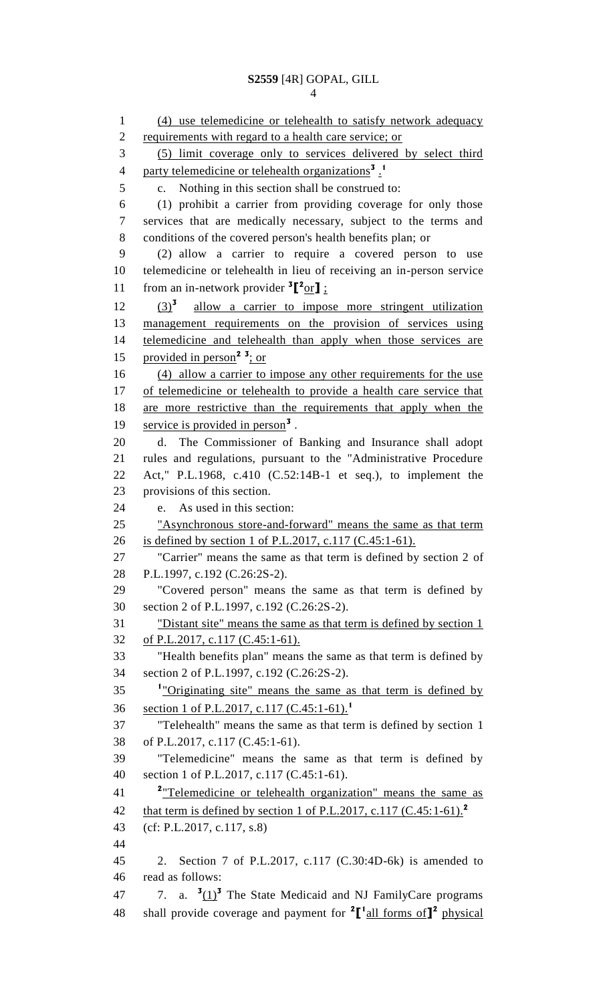(4) use telemedicine or telehealth to satisfy network adequacy 2 requirements with regard to a health care service; or (5) limit coverage only to services delivered by select third party telemedicine or telehealth organizations<sup>3</sup>. c. Nothing in this section shall be construed to: (1) prohibit a carrier from providing coverage for only those services that are medically necessary, subject to the terms and conditions of the covered person's health benefits plan; or (2) allow a carrier to require a covered person to use telemedicine or telehealth in lieu of receiving an in-person service 11 from an in-network provider  ${}^{3}$  $[{}^{2}$ or**]** ;  $(3)^{3}$  $(3)^3$  allow a carrier to impose more stringent utilization management requirements on the provision of services using telemedicine and telehealth than apply when those services are 15 provided in person<sup>2</sup><sup>3</sup>; or (4) allow a carrier to impose any other requirements for the use of telemedicine or telehealth to provide a health care service that are more restrictive than the requirements that apply when the 19 service is provided in person<sup>3</sup>. d. The Commissioner of Banking and Insurance shall adopt rules and regulations, pursuant to the "Administrative Procedure Act," P.L.1968, c.410 (C.52:14B-1 et seq.), to implement the provisions of this section. e. As used in this section: "Asynchronous store-and-forward" means the same as that term is defined by section 1 of P.L.2017, c.117 (C.45:1-61). "Carrier" means the same as that term is defined by section 2 of P.L.1997, c.192 (C.26:2S-2). "Covered person" means the same as that term is defined by section 2 of P.L.1997, c.192 (C.26:2S-2). "Distant site" means the same as that term is defined by section 1 of P.L.2017, c.117 (C.45:1-61). "Health benefits plan" means the same as that term is defined by section 2 of P.L.1997, c.192 (C.26:2S-2). <sup>1</sup> "Originating site" means the same as that term is defined by section 1 of P.L.2017, c.117 (C.45:1-61).**<sup>1</sup>** "Telehealth" means the same as that term is defined by section 1 of P.L.2017, c.117 (C.45:1-61). "Telemedicine" means the same as that term is defined by section 1 of P.L.2017, c.117 (C.45:1-61). "Telemedicine or telehealth organization" means the same as that term is defined by section 1 of P.L.2017, c.117 (C.45:1-61).**<sup>2</sup>** (cf: P.L.2017, c.117, s.8) 2. Section 7 of P.L.2017, c.117 (C.30:4D-6k) is amended to read as follows:  $\cdot$  7. a.  $\frac{3(1)^3}{2}$  The State Medicaid and NJ FamilyCare programs 48 shall provide coverage and payment for  ${}^{2}$  $[$ <sup>1</sup> all forms of  $]$ <sup>2</sup> physical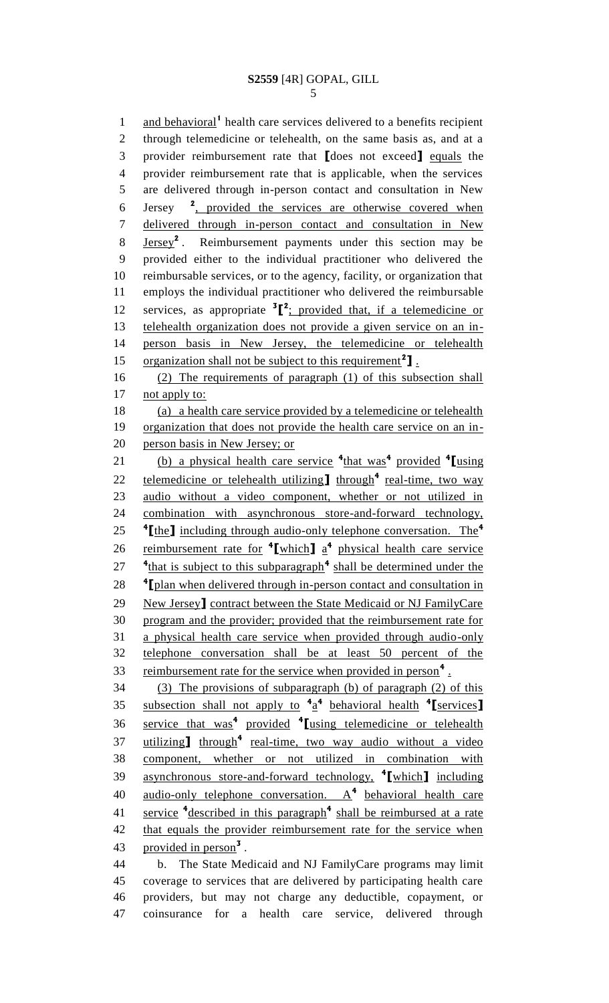1 and behavioral<sup>1</sup> health care services delivered to a benefits recipient through telemedicine or telehealth, on the same basis as, and at a provider reimbursement rate that **[**does not exceed**]** equals the provider reimbursement rate that is applicable, when the services are delivered through in-person contact and consultation in New Jersey 6 Jersey <sup>2</sup>, provided the services are otherwise covered when delivered through in-person contact and consultation in New  $Jersey<sup>2</sup>$ . 8 **Jersey<sup>2</sup>**. Reimbursement payments under this section may be provided either to the individual practitioner who delivered the reimbursable services, or to the agency, facility, or organization that employs the individual practitioner who delivered the reimbursable 12 services, as appropriate  ${}^{3}$  $[{}^{2}$ ; provided that, if a telemedicine or telehealth organization does not provide a given service on an in- person basis in New Jersey, the telemedicine or telehealth 15 organization shall not be subject to this requirement<sup>2</sup>]. (2) The requirements of paragraph (1) of this subsection shall 17 not apply to: (a) a health care service provided by a telemedicine or telehealth organization that does not provide the health care service on an in- person basis in New Jersey; or (b) a physical health care service **<sup>4</sup>** that was**<sup>4</sup>** provided **<sup>4</sup> [**using 22 telemedicine or telehealth utilizing through<sup>4</sup> real-time, two way audio without a video component, whether or not utilized in combination with asynchronous store-and-forward technology, **[**the**]** including through audio-only telephone conversation. The**<sup>4</sup>** 26 reimbursement rate for  $\frac{4}{\pi}$  related a  $\frac{4}{\pi}$  physical health care service <sup>4</sup><sup>that</sup> is subject to this subparagraph<sup>4</sup> shall be determined under the <sup>4</sup> [plan when delivered through in-person contact and consultation in New Jersey**]** contract between the State Medicaid or NJ FamilyCare program and the provider; provided that the reimbursement rate for a physical health care service when provided through audio-only telephone conversation shall be at least 50 percent of the 33 reimbursement rate for the service when provided in person<sup>4</sup>. (3) The provisions of subparagraph (b) of paragraph (2) of this subsection shall not apply to **<sup>4</sup>** a **4** behavioral health **<sup>4</sup> [**services**]** service that was**<sup>4</sup>** provided **<sup>4</sup> [**using telemedicine or telehealth 37 utilizing through<sup>4</sup> real-time, two way audio without a video component, whether or not utilized in combination with asynchronous store-and-forward technology, **<sup>4</sup> [**which**]** including 40 <u>audio-only telephone conversation. A</u><sup>4</sup> behavioral health care 41 service <sup>4</sup>described in this paragraph<sup>4</sup> shall be reimbursed at a rate 42 that equals the provider reimbursement rate for the service when 43 provided in person<sup>3</sup>. b. The State Medicaid and NJ FamilyCare programs may limit coverage to services that are delivered by participating health care providers, but may not charge any deductible, copayment, or

coinsurance for a health care service, delivered through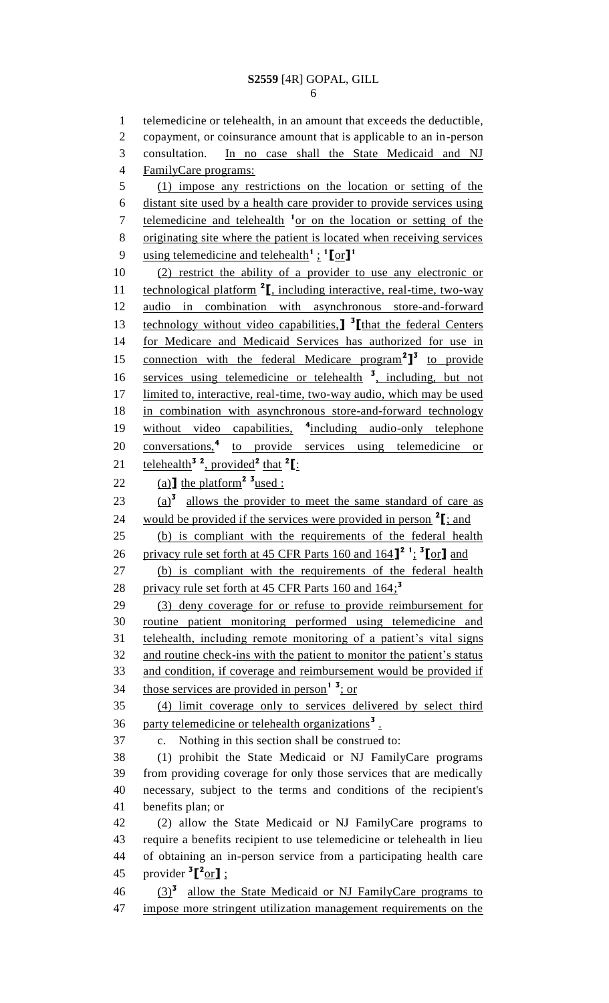```
6
```
 telemedicine or telehealth, in an amount that exceeds the deductible, copayment, or coinsurance amount that is applicable to an in-person consultation. In no case shall the State Medicaid and NJ FamilyCare programs: (1) impose any restrictions on the location or setting of the distant site used by a health care provider to provide services using 7 telemedicine and telehealth <sup>1</sup> or on the location or setting of the originating site where the patient is located when receiving services using telemedicine and telehealth**<sup>1</sup>**; **1 [**or**] 1** (2) restrict the ability of a provider to use any electronic or **technological platform <sup>2</sup>I**, including interactive, real-time, two-way audio in combination with asynchronous store-and-forward **technology without video capabilities, <sup>3</sup>** [that the federal Centers for Medicare and Medicaid Services has authorized for use in 15 connection with the federal Medicare program<sup>2</sup><sup>1</sup> to provide 16 services using telemedicine or telehealth <sup>3</sup>, including, but not limited to, interactive, real-time, two-way audio, which may be used in combination with asynchronous store-and-forward technology 19 without video capabilities, <sup>4</sup>including audio-only telephone 20 conversations,<sup>4</sup> to provide services using telemedicine or **telehealth**<sup>3</sup><sup>2</sup>, provided<sup>2</sup> that <sup>2</sup>[: 22 (a)  $\text{the platform}^2$  <sup>3</sup> used :  $\frac{(a)^3}{a}$  allows the provider to meet the same standard of care as 24 would be provided if the services were provided in person  $2\left[\frac{1}{2}\right]$  and (b) is compliant with the requirements of the federal health privacy rule set forth at 45 CFR Parts 160 and 164**] 2 1** ; **3 [**or**]** and (b) is compliant with the requirements of the federal health privacy rule set forth at 45 CFR Parts 160 and 164; **3** (3) deny coverage for or refuse to provide reimbursement for routine patient monitoring performed using telemedicine and telehealth, including remote monitoring of a patient's vital signs and routine check-ins with the patient to monitor the patient's status and condition, if coverage and reimbursement would be provided if 34 those services are provided in person<sup>1</sup><sup>3</sup>; or (4) limit coverage only to services delivered by select third 36 party telemedicine or telehealth organizations<sup>3</sup>. c. Nothing in this section shall be construed to: (1) prohibit the State Medicaid or NJ FamilyCare programs from providing coverage for only those services that are medically necessary, subject to the terms and conditions of the recipient's benefits plan; or (2) allow the State Medicaid or NJ FamilyCare programs to require a benefits recipient to use telemedicine or telehealth in lieu of obtaining an in-person service from a participating health care 45 provider  ${}^{3}$  $[{}^{2}$ or**]**;  $(3)^{3}$  allow the State Medicaid or NJ FamilyCare programs to impose more stringent utilization management requirements on the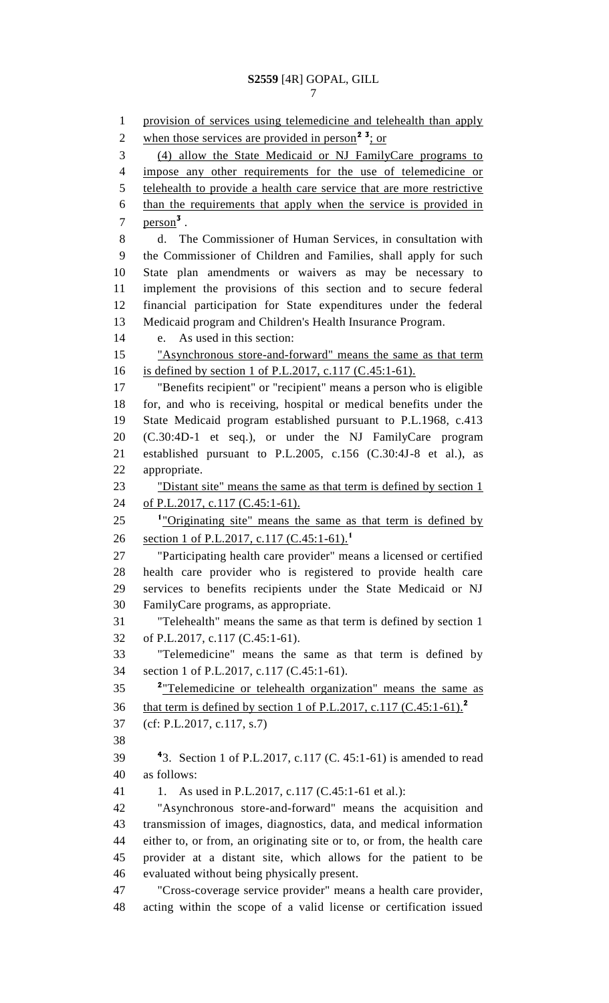provision of services using telemedicine and telehealth than apply 2 when those services are provided in person<sup>2</sup><sup>3</sup>; or (4) allow the State Medicaid or NJ FamilyCare programs to impose any other requirements for the use of telemedicine or telehealth to provide a health care service that are more restrictive than the requirements that apply when the service is provided in  $person<sup>3</sup>$ . d. The Commissioner of Human Services, in consultation with the Commissioner of Children and Families, shall apply for such State plan amendments or waivers as may be necessary to implement the provisions of this section and to secure federal financial participation for State expenditures under the federal Medicaid program and Children's Health Insurance Program. e. As used in this section: "Asynchronous store-and-forward" means the same as that term is defined by section 1 of P.L.2017, c.117 (C.45:1-61). "Benefits recipient" or "recipient" means a person who is eligible for, and who is receiving, hospital or medical benefits under the State Medicaid program established pursuant to P.L.1968, c.413 (C.30:4D-1 et seq.), or under the NJ FamilyCare program established pursuant to P.L.2005, c.156 (C.30:4J-8 et al.), as appropriate. "Distant site" means the same as that term is defined by section 1 24 of P.L.2017, c.117 (C.45:1-61). <sup>1</sup> "Originating site" means the same as that term is defined by section 1 of P.L.2017, c.117 (C.45:1-61).**<sup>1</sup>** "Participating health care provider" means a licensed or certified health care provider who is registered to provide health care services to benefits recipients under the State Medicaid or NJ FamilyCare programs, as appropriate. "Telehealth" means the same as that term is defined by section 1 of P.L.2017, c.117 (C.45:1-61). "Telemedicine" means the same as that term is defined by section 1 of P.L.2017, c.117 (C.45:1-61). <sup>2</sup> Telemedicine or telehealth organization" means the same as that term is defined by section 1 of P.L.2017, c.117 (C.45:1-61).**<sup>2</sup>** (cf: P.L.2017, c.117, s.7) **4 4 4 3.** Section 1 of P.L.2017, c.117 (C. 45:1-61) is amended to read as follows: 41 1. As used in P.L.2017, c.117 (C.45:1-61 et al.): "Asynchronous store-and-forward" means the acquisition and transmission of images, diagnostics, data, and medical information either to, or from, an originating site or to, or from, the health care provider at a distant site, which allows for the patient to be evaluated without being physically present. "Cross-coverage service provider" means a health care provider, acting within the scope of a valid license or certification issued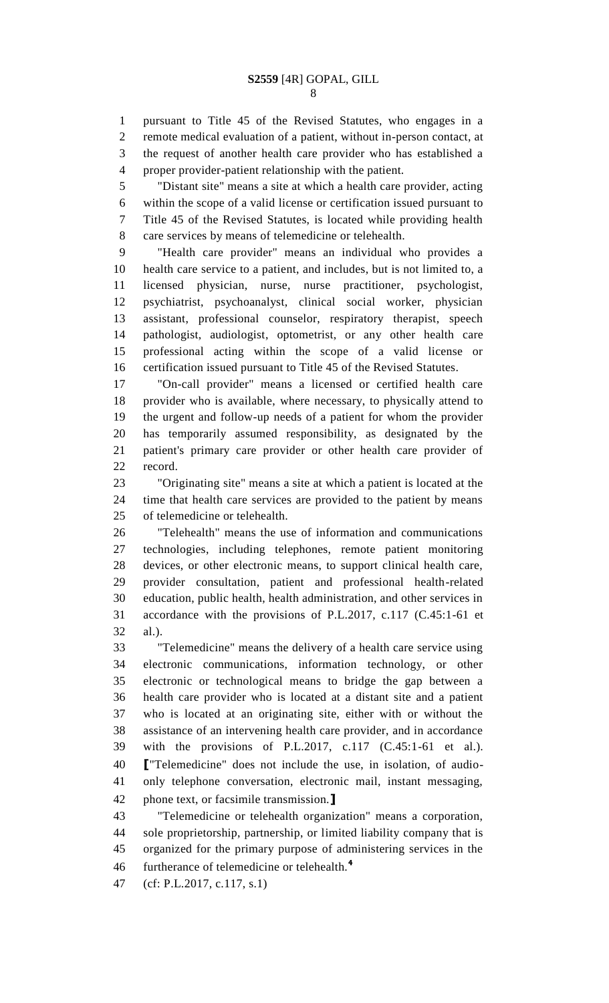pursuant to Title 45 of the Revised Statutes, who engages in a remote medical evaluation of a patient, without in-person contact, at the request of another health care provider who has established a proper provider-patient relationship with the patient.

 "Distant site" means a site at which a health care provider, acting within the scope of a valid license or certification issued pursuant to Title 45 of the Revised Statutes, is located while providing health care services by means of telemedicine or telehealth.

 "Health care provider" means an individual who provides a health care service to a patient, and includes, but is not limited to, a licensed physician, nurse, nurse practitioner, psychologist, psychiatrist, psychoanalyst, clinical social worker, physician assistant, professional counselor, respiratory therapist, speech pathologist, audiologist, optometrist, or any other health care professional acting within the scope of a valid license or certification issued pursuant to Title 45 of the Revised Statutes.

 "On-call provider" means a licensed or certified health care provider who is available, where necessary, to physically attend to the urgent and follow-up needs of a patient for whom the provider has temporarily assumed responsibility, as designated by the patient's primary care provider or other health care provider of record.

 "Originating site" means a site at which a patient is located at the time that health care services are provided to the patient by means of telemedicine or telehealth.

 "Telehealth" means the use of information and communications technologies, including telephones, remote patient monitoring devices, or other electronic means, to support clinical health care, provider consultation, patient and professional health-related education, public health, health administration, and other services in accordance with the provisions of P.L.2017, c.117 (C.45:1-61 et al.).

 "Telemedicine" means the delivery of a health care service using electronic communications, information technology, or other electronic or technological means to bridge the gap between a health care provider who is located at a distant site and a patient who is located at an originating site, either with or without the assistance of an intervening health care provider, and in accordance with the provisions of P.L.2017, c.117 (C.45:1-61 et al.). **[**"Telemedicine" does not include the use, in isolation, of audio- only telephone conversation, electronic mail, instant messaging, phone text, or facsimile transmission.**]**

 "Telemedicine or telehealth organization" means a corporation, sole proprietorship, partnership, or limited liability company that is organized for the primary purpose of administering services in the furtherance of telemedicine or telehealth.**<sup>4</sup>** 

(cf: P.L.2017, c.117, s.1)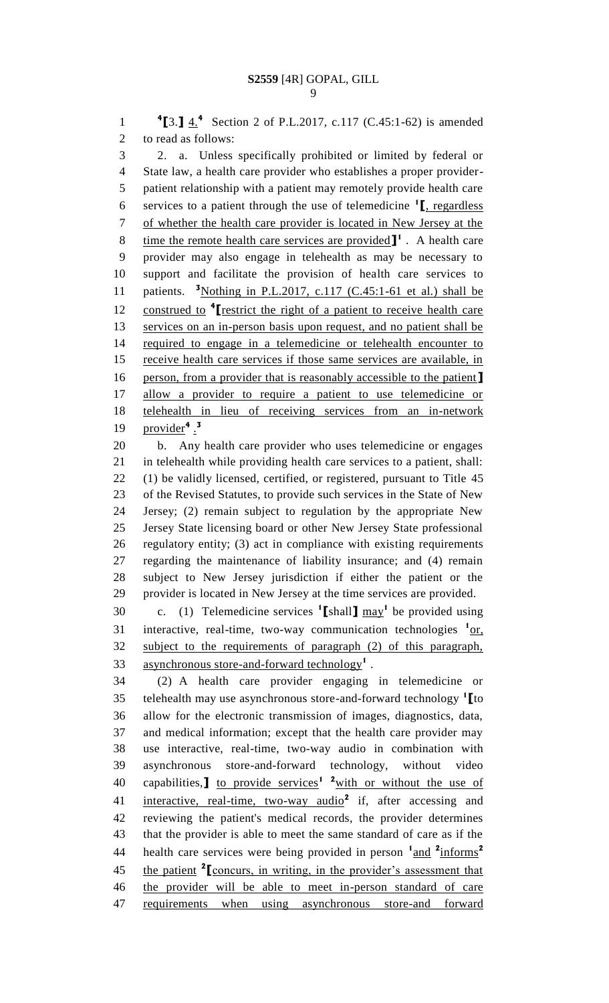**[**3.**]** 4.**<sup>4</sup>** 1 Section 2 of P.L.2017, c.117 (C.45:1-62) is amended to read as follows: 2. a. Unless specifically prohibited or limited by federal or State law, a health care provider who establishes a proper provider- patient relationship with a patient may remotely provide health care services to a patient through the use of telemedicine **<sup>1</sup> [**, regardless of whether the health care provider is located in New Jersey at the 8 ime the remote health care services are provided  $\mathbf{I}^1$ . A health care provider may also engage in telehealth as may be necessary to support and facilitate the provision of health care services to 11 patients. <sup>3</sup>Nothing in P.L.2017, c.117 (C.45:1-61 et al.) shall be **construed to <sup>4</sup>** [restrict the right of a patient to receive health care services on an in-person basis upon request, and no patient shall be required to engage in a telemedicine or telehealth encounter to receive health care services if those same services are available, in person, from a provider that is reasonably accessible to the patient**]** allow a provider to require a patient to use telemedicine or telehealth in lieu of receiving services from an in-network provider**<sup>4</sup>** . **3** 

 b. Any health care provider who uses telemedicine or engages in telehealth while providing health care services to a patient, shall: (1) be validly licensed, certified, or registered, pursuant to Title 45 of the Revised Statutes, to provide such services in the State of New Jersey; (2) remain subject to regulation by the appropriate New Jersey State licensing board or other New Jersey State professional regulatory entity; (3) act in compliance with existing requirements regarding the maintenance of liability insurance; and (4) remain subject to New Jersey jurisdiction if either the patient or the provider is located in New Jersey at the time services are provided.

30 c. (1) Telemedicine services  $\textbf{1}$  [shall]  $\text{max}$ <sup>1</sup> be provided using 31 interactive, real-time, two-way communication technologies <sup>1</sup>or, subject to the requirements of paragraph (2) of this paragraph, asynchronous store-and-forward technology**<sup>1</sup>** .

 (2) A health care provider engaging in telemedicine or telehealth may use asynchronous store-and-forward technology **<sup>1</sup> [**to allow for the electronic transmission of images, diagnostics, data, and medical information; except that the health care provider may use interactive, real-time, two-way audio in combination with asynchronous store-and-forward technology, without video 40 capabilities, to provide services<sup>1</sup> <sup>2</sup> with or without the use of 41 interactive, real-time, two-way audio<sup>2</sup> if, after accessing and reviewing the patient's medical records, the provider determines that the provider is able to meet the same standard of care as if the health care services were being provided in person  $\frac{1 \text{ and } 2 \text{ informs}}{2}$  the patient **<sup>2</sup> [**concurs, in writing, in the provider's assessment that the provider will be able to meet in-person standard of care requirements when using asynchronous store-and forward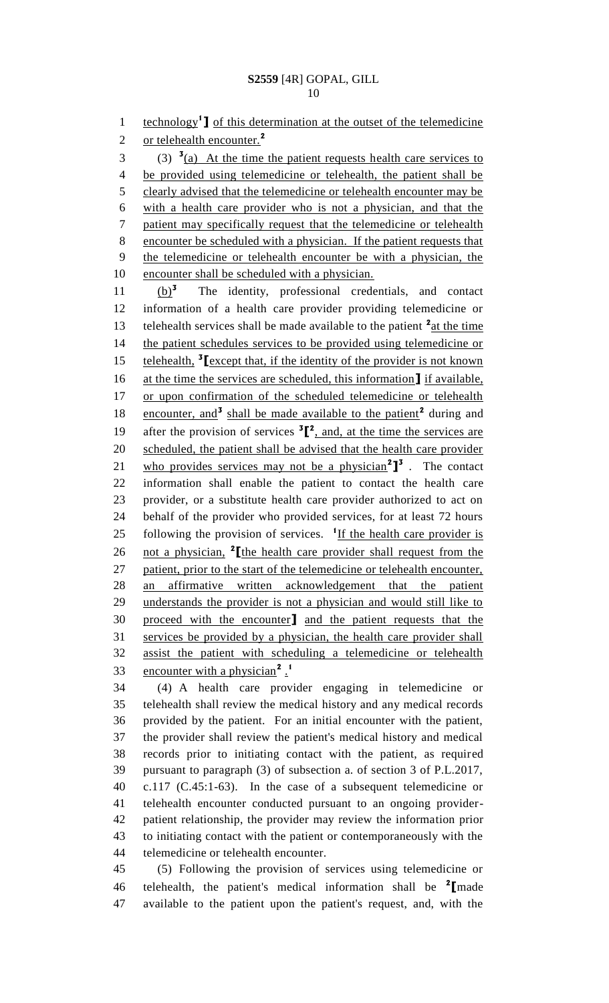1 **Lease technology<sup>1</sup> ]** of this determination at the outset of the telemedicine or telehealth encounter.**<sup>2</sup>**  $3 \text{ (3) }$   $\frac{3}{2}$  At the time the patient requests health care services to be provided using telemedicine or telehealth, the patient shall be 5 clearly advised that the telemedicine or telehealth encounter may be with a health care provider who is not a physician, and that the patient may specifically request that the telemedicine or telehealth encounter be scheduled with a physician. If the patient requests that

 the telemedicine or telehealth encounter be with a physician, the 10 encounter shall be scheduled with a physician.

(b)**<sup>3</sup>**  $(b)^3$  The identity, professional credentials, and contact information of a health care provider providing telemedicine or 13 telehealth services shall be made available to the patient <sup>2</sup> at the time 14 the patient schedules services to be provided using telemedicine or 15 **telehealth,** <sup>3</sup> Lexcept that, if the identity of the provider is not known at the time the services are scheduled, this information**]** if available, or upon confirmation of the scheduled telemedicine or telehealth 18 encounter, and<sup>3</sup> shall be made available to the patient<sup>2</sup> during and 19 after the provision of services  ${}^{3}$  $[{}^{2}$ , and, at the time the services are scheduled, the patient shall be advised that the health care provider 21 who provides services may not be a physician<sup>2</sup><sup>1</sup><sup>3</sup>. The contact information shall enable the patient to contact the health care provider, or a substitute health care provider authorized to act on behalf of the provider who provided services, for at least 72 hours 25 following the provision of services. <sup>1</sup>If the health care provider is 26 not a physician, <sup>2</sup> [the health care provider shall request from the patient, prior to the start of the telemedicine or telehealth encounter, an affirmative written acknowledgement that the patient understands the provider is not a physician and would still like to proceed with the encounter**]** and the patient requests that the services be provided by a physician, the health care provider shall assist the patient with scheduling a telemedicine or telehealth **encounter with a physician<sup>2</sup>**. 

 (4) A health care provider engaging in telemedicine or telehealth shall review the medical history and any medical records provided by the patient. For an initial encounter with the patient, the provider shall review the patient's medical history and medical records prior to initiating contact with the patient, as required pursuant to paragraph (3) of subsection a. of section 3 of P.L.2017, c.117 (C.45:1-63). In the case of a subsequent telemedicine or telehealth encounter conducted pursuant to an ongoing provider- patient relationship, the provider may review the information prior to initiating contact with the patient or contemporaneously with the telemedicine or telehealth encounter.

 (5) Following the provision of services using telemedicine or telehealth, the patient's medical information shall be **<sup>2</sup> [**made available to the patient upon the patient's request, and, with the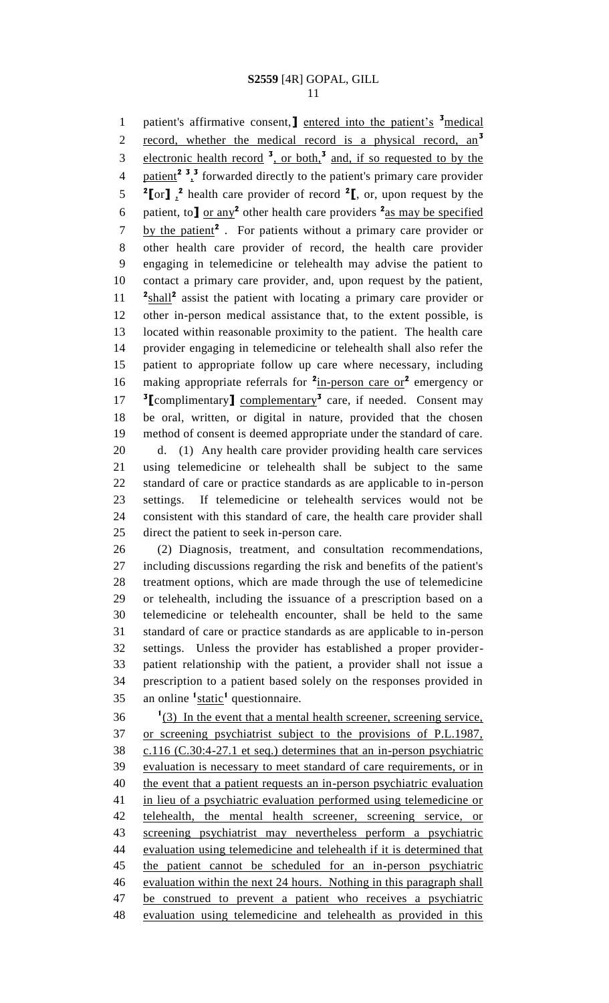1 patient's affirmative consent, net entered into the patient's <sup>3</sup> medical record, whether the medical record is a physical record, an**<sup>3</sup>** electronic health record **<sup>3</sup>** , or both,**<sup>3</sup>** and, if so requested to by the 4 patient<sup>2</sup><sup>3</sup>,<sup>3</sup> forwarded directly to the patient's primary care provider  $2^{\circ}$   $\left[\text{or} \right]$ ,  $\frac{2}{\cdot}$  health care provider of record  $\frac{2}{\cdot}$ , or, upon request by the 6 patient, to  $\int \frac{\text{or any}}{2}$  other health care providers  $\frac{2}{\text{as may be specified}}$ 7 by the patient<sup>2</sup>. For patients without a primary care provider or other health care provider of record, the health care provider engaging in telemedicine or telehealth may advise the patient to contact a primary care provider, and, upon request by the patient, 11 <sup>2</sup>**shall<sup>2</sup>** assist the patient with locating a primary care provider or other in-person medical assistance that, to the extent possible, is located within reasonable proximity to the patient. The health care provider engaging in telemedicine or telehealth shall also refer the patient to appropriate follow up care where necessary, including 16 making appropriate referrals for <sup>2</sup>in-person care or<sup>2</sup> emergency or 17 <sup>3</sup> [complimentary] complementary<sup>3</sup> care, if needed. Consent may be oral, written, or digital in nature, provided that the chosen method of consent is deemed appropriate under the standard of care. d. (1) Any health care provider providing health care services using telemedicine or telehealth shall be subject to the same standard of care or practice standards as are applicable to in-person settings. If telemedicine or telehealth services would not be consistent with this standard of care, the health care provider shall direct the patient to seek in-person care.

 (2) Diagnosis, treatment, and consultation recommendations, including discussions regarding the risk and benefits of the patient's treatment options, which are made through the use of telemedicine or telehealth, including the issuance of a prescription based on a telemedicine or telehealth encounter, shall be held to the same standard of care or practice standards as are applicable to in-person settings. Unless the provider has established a proper provider- patient relationship with the patient, a provider shall not issue a prescription to a patient based solely on the responses provided in 35 an online <sup>1</sup>static<sup>1</sup> questionnaire.

 $1(3)$  In the event that a mental health screener, screening service, or screening psychiatrist subject to the provisions of P.L.1987, c.116 (C.30:4-27.1 et seq.) determines that an in-person psychiatric evaluation is necessary to meet standard of care requirements, or in 40 the event that a patient requests an in-person psychiatric evaluation in lieu of a psychiatric evaluation performed using telemedicine or telehealth, the mental health screener, screening service, or screening psychiatrist may nevertheless perform a psychiatric evaluation using telemedicine and telehealth if it is determined that the patient cannot be scheduled for an in-person psychiatric evaluation within the next 24 hours. Nothing in this paragraph shall 47 be construed to prevent a patient who receives a psychiatric evaluation using telemedicine and telehealth as provided in this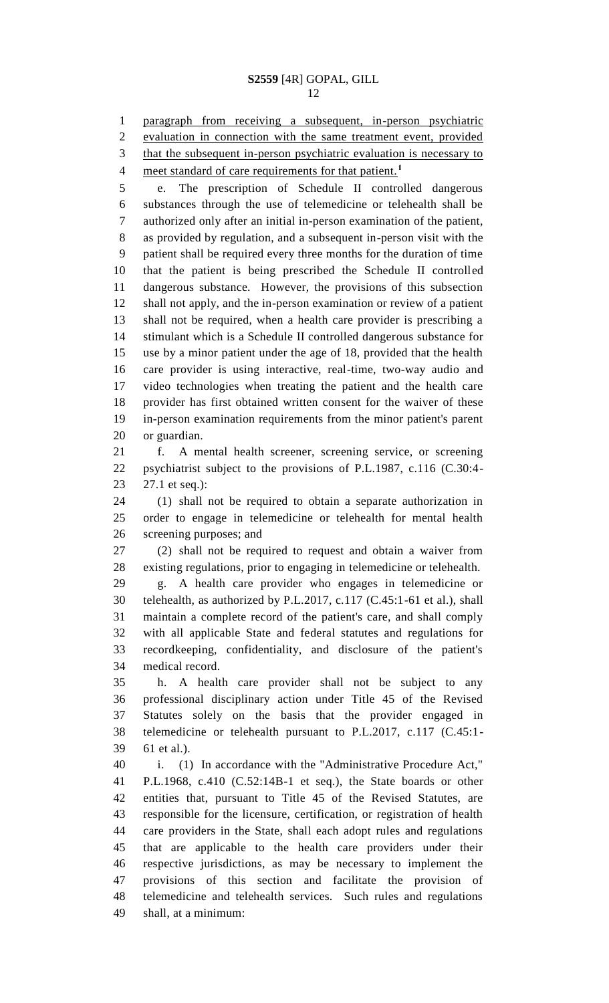paragraph from receiving a subsequent, in-person psychiatric evaluation in connection with the same treatment event, provided 3 that the subsequent in-person psychiatric evaluation is necessary to

meet standard of care requirements for that patient.<sup>1</sup> 

 e. The prescription of Schedule II controlled dangerous substances through the use of telemedicine or telehealth shall be authorized only after an initial in-person examination of the patient, as provided by regulation, and a subsequent in-person visit with the patient shall be required every three months for the duration of time that the patient is being prescribed the Schedule II controlled dangerous substance. However, the provisions of this subsection shall not apply, and the in-person examination or review of a patient shall not be required, when a health care provider is prescribing a stimulant which is a Schedule II controlled dangerous substance for use by a minor patient under the age of 18, provided that the health care provider is using interactive, real-time, two-way audio and video technologies when treating the patient and the health care provider has first obtained written consent for the waiver of these in-person examination requirements from the minor patient's parent or guardian.

 f. A mental health screener, screening service, or screening psychiatrist subject to the provisions of P.L.1987, c.116 (C.30:4- 27.1 et seq.):

 (1) shall not be required to obtain a separate authorization in order to engage in telemedicine or telehealth for mental health screening purposes; and

 (2) shall not be required to request and obtain a waiver from existing regulations, prior to engaging in telemedicine or telehealth.

 g. A health care provider who engages in telemedicine or telehealth, as authorized by P.L.2017, c.117 (C.45:1-61 et al.), shall maintain a complete record of the patient's care, and shall comply with all applicable State and federal statutes and regulations for recordkeeping, confidentiality, and disclosure of the patient's medical record.

 h. A health care provider shall not be subject to any professional disciplinary action under Title 45 of the Revised Statutes solely on the basis that the provider engaged in telemedicine or telehealth pursuant to P.L.2017, c.117 (C.45:1- 61 et al.).

 i. (1) In accordance with the "Administrative Procedure Act," P.L.1968, c.410 (C.52:14B-1 et seq.), the State boards or other entities that, pursuant to Title 45 of the Revised Statutes, are responsible for the licensure, certification, or registration of health care providers in the State, shall each adopt rules and regulations that are applicable to the health care providers under their respective jurisdictions, as may be necessary to implement the provisions of this section and facilitate the provision of telemedicine and telehealth services. Such rules and regulations shall, at a minimum: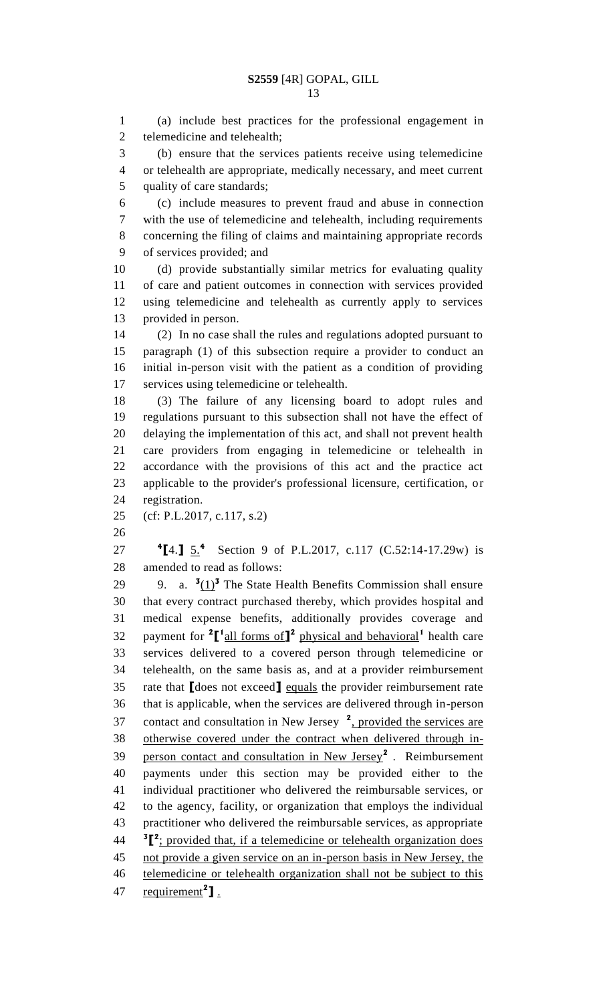(a) include best practices for the professional engagement in telemedicine and telehealth; (b) ensure that the services patients receive using telemedicine or telehealth are appropriate, medically necessary, and meet current quality of care standards; (c) include measures to prevent fraud and abuse in connection with the use of telemedicine and telehealth, including requirements concerning the filing of claims and maintaining appropriate records of services provided; and (d) provide substantially similar metrics for evaluating quality of care and patient outcomes in connection with services provided using telemedicine and telehealth as currently apply to services provided in person. (2) In no case shall the rules and regulations adopted pursuant to paragraph (1) of this subsection require a provider to conduct an initial in-person visit with the patient as a condition of providing services using telemedicine or telehealth. (3) The failure of any licensing board to adopt rules and regulations pursuant to this subsection shall not have the effect of delaying the implementation of this act, and shall not prevent health care providers from engaging in telemedicine or telehealth in accordance with the provisions of this act and the practice act applicable to the provider's professional licensure, certification, or registration. (cf: P.L.2017, c.117, s.2) **4[4.]**  $\underline{5.4}$  Section 9 of P.L.2017, c.117 (C.52:14-17.29w) is amended to read as follows: 29 9. a.  $\frac{3(1)^3}{2}$  The State Health Benefits Commission shall ensure that every contract purchased thereby, which provides hospital and medical expense benefits, additionally provides coverage and 32 payment for <sup>2</sup>[<sup>1</sup> all forms of<sup>1</sup><sup>2</sup> physical and behavioral<sup>1</sup> health care services delivered to a covered person through telemedicine or telehealth, on the same basis as, and at a provider reimbursement rate that **[**does not exceed**]** equals the provider reimbursement rate that is applicable, when the services are delivered through in-person 37 contact and consultation in New Jersey <sup>2</sup>, provided the services are otherwise covered under the contract when delivered through inperson contact and consultation in New Jersey**<sup>2</sup>** . Reimbursement payments under this section may be provided either to the individual practitioner who delivered the reimbursable services, or to the agency, facility, or organization that employs the individual practitioner who delivered the reimbursable services, as appropriate <sup>3</sup><sup>2</sup>; provided that, if a telemedicine or telehealth organization does not provide a given service on an in-person basis in New Jersey, the telemedicine or telehealth organization shall not be subject to this **requirement<sup>2</sup>]**.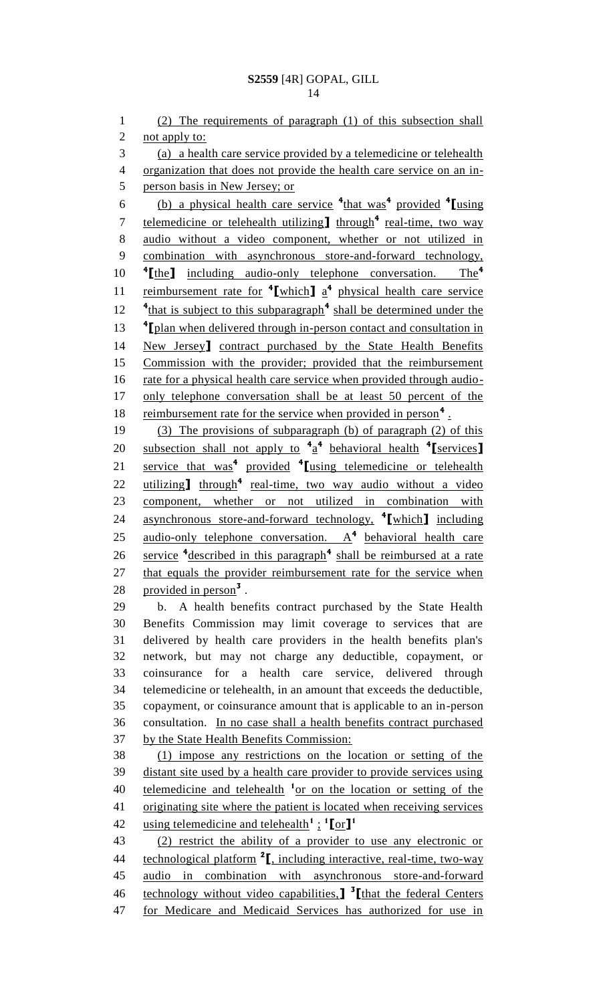(2) The requirements of paragraph (1) of this subsection shall 2 not apply to: (a) a health care service provided by a telemedicine or telehealth organization that does not provide the health care service on an in- person basis in New Jersey; or (b) a physical health care service **<sup>4</sup>** that was**<sup>4</sup>** provided **<sup>4</sup> [**using 7 telemedicine or telehealth utilizing<sup>1</sup> through<sup>4</sup> real-time, two way audio without a video component, whether or not utilized in combination with asynchronous store-and-forward technology, **[**the**]** including audio-only telephone conversation. The**<sup>4</sup>** 11 reimbursement rate for <sup>4</sup>[which] a<sup>4</sup> physical health care service <sup>4</sup>that is subject to this subparagraph<sup>4</sup> shall be determined under the <sup>4</sup> 1 *f l***<sub>plan</sub>** when delivered through in-person contact and consultation in New Jersey**]** contract purchased by the State Health Benefits Commission with the provider; provided that the reimbursement 16 rate for a physical health care service when provided through audio- only telephone conversation shall be at least 50 percent of the 18 reimbursement rate for the service when provided in person<sup>4</sup>. (3) The provisions of subparagraph (b) of paragraph (2) of this subsection shall not apply to **<sup>4</sup>** a **4** behavioral health **<sup>4</sup> [**services**]** 21 **service that was<sup>4</sup> provided <sup>4</sup>** [using telemedicine or telehealth 22 utilizing **I** through<sup>4</sup> real-time, two way audio without a video component, whether or not utilized in combination with asynchronous store-and-forward technology, **<sup>4</sup> [**which**]** including 25 <u>audio-only telephone conversation. A<sup>4</sup> behavioral health care</u> 26 service <sup>4</sup>described in this paragraph<sup>4</sup> shall be reimbursed at a rate 27 that equals the provider reimbursement rate for the service when 28 provided in person<sup>3</sup>. b. A health benefits contract purchased by the State Health Benefits Commission may limit coverage to services that are delivered by health care providers in the health benefits plan's network, but may not charge any deductible, copayment, or coinsurance for a health care service, delivered through telemedicine or telehealth, in an amount that exceeds the deductible, copayment, or coinsurance amount that is applicable to an in-person consultation. In no case shall a health benefits contract purchased by the State Health Benefits Commission: (1) impose any restrictions on the location or setting of the distant site used by a health care provider to provide services using 40 telemedicine and telehealth <sup>1</sup> or on the location or setting of the 41 originating site where the patient is located when receiving services using telemedicine and telehealth<sup>1</sup>:  $\frac{1}{2}$ [or]<sup>1</sup> (2) restrict the ability of a provider to use any electronic or 44 **technological platform <sup>2</sup>I**, including interactive, real-time, two-way audio in combination with asynchronous store-and-forward technology without video capabilities,**] 3 [**that the federal Centers for Medicare and Medicaid Services has authorized for use in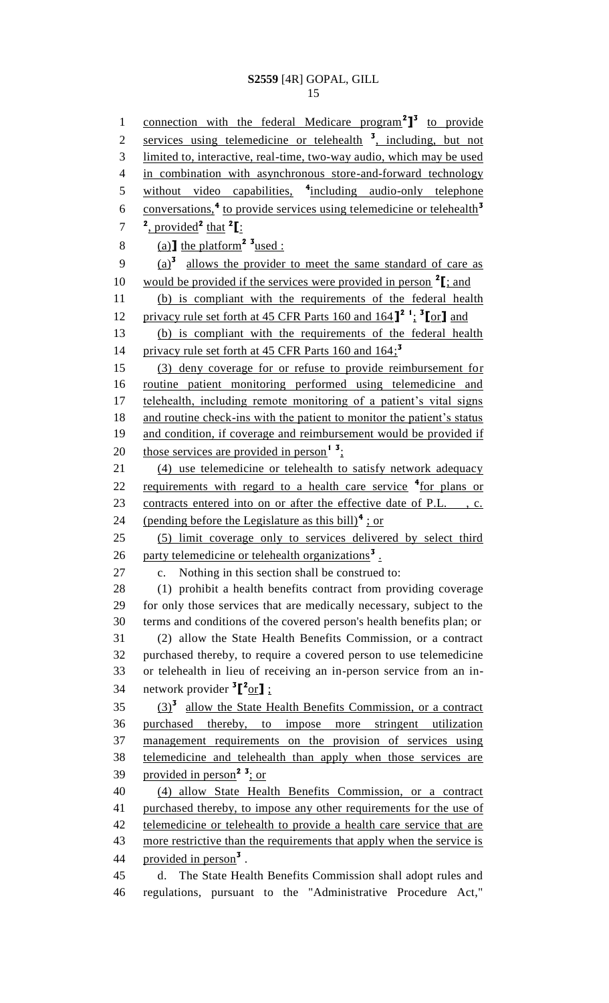1 connection with the federal Medicare program<sup>2</sup><sup>1</sup> to provide 2 services using telemedicine or telehealth<sup>3</sup>, including, but not 3 limited to, interactive, real-time, two-way audio, which may be used 4 in combination with asynchronous store-and-forward technology 5 without video capabilities, <sup>4</sup>including audio-only telephone conversations,**<sup>4</sup>** to provide services using telemedicine or telehealth**<sup>3</sup>** 6  $7^2$ , provided<sup>2</sup> that <sup>2</sup>[: 8 (a)  $\text{the platform}^2$  <sup>3</sup> used : 9 (a)<sup>3</sup> allows the provider to meet the same standard of care as 10 would be provided if the services were provided in person  $2$ [; and 11 (b) is compliant with the requirements of the federal health privacy rule set forth at 45 CFR Parts 160 and 164**] 2 1** ; **3** 12 **[**or**]** and 13 (b) is compliant with the requirements of the federal health privacy rule set forth at 45 CFR Parts 160 and 164; **3** 14 15 (3) deny coverage for or refuse to provide reimbursement for 16 routine patient monitoring performed using telemedicine and 17 telehealth, including remote monitoring of a patient's vital signs 18 and routine check-ins with the patient to monitor the patient's status 19 and condition, if coverage and reimbursement would be provided if 20 those services are provided in person<sup>1</sup><sup>3</sup>; 21 (4) use telemedicine or telehealth to satisfy network adequacy 22 requirements with regard to a health care service <sup>4</sup> for plans or 23 contracts entered into on or after the effective date of P.L., c. 24 (pending before the Legislature as this bill)<sup>4</sup>: or 25 (5) limit coverage only to services delivered by select third 26 party telemedicine or telehealth organizations<sup>3</sup>. 27 c. Nothing in this section shall be construed to: 28 (1) prohibit a health benefits contract from providing coverage 29 for only those services that are medically necessary, subject to the 30 terms and conditions of the covered person's health benefits plan; or 31 (2) allow the State Health Benefits Commission, or a contract 32 purchased thereby, to require a covered person to use telemedicine 33 or telehealth in lieu of receiving an in-person service from an in-34 network provider <sup>3</sup><sup>[2</sup>or]; (3)**<sup>3</sup>** 35 allow the State Health Benefits Commission, or a contract 36 purchased thereby, to impose more stringent utilization 37 management requirements on the provision of services using 38 telemedicine and telehealth than apply when those services are provided in person**<sup>2</sup> <sup>3</sup>** 39 ; or 40 (4) allow State Health Benefits Commission, or a contract 41 purchased thereby, to impose any other requirements for the use of 42 telemedicine or telehealth to provide a health care service that are 43 more restrictive than the requirements that apply when the service is 44 provided in person<sup>3</sup>. 45 d. The State Health Benefits Commission shall adopt rules and 46 regulations, pursuant to the "Administrative Procedure Act,"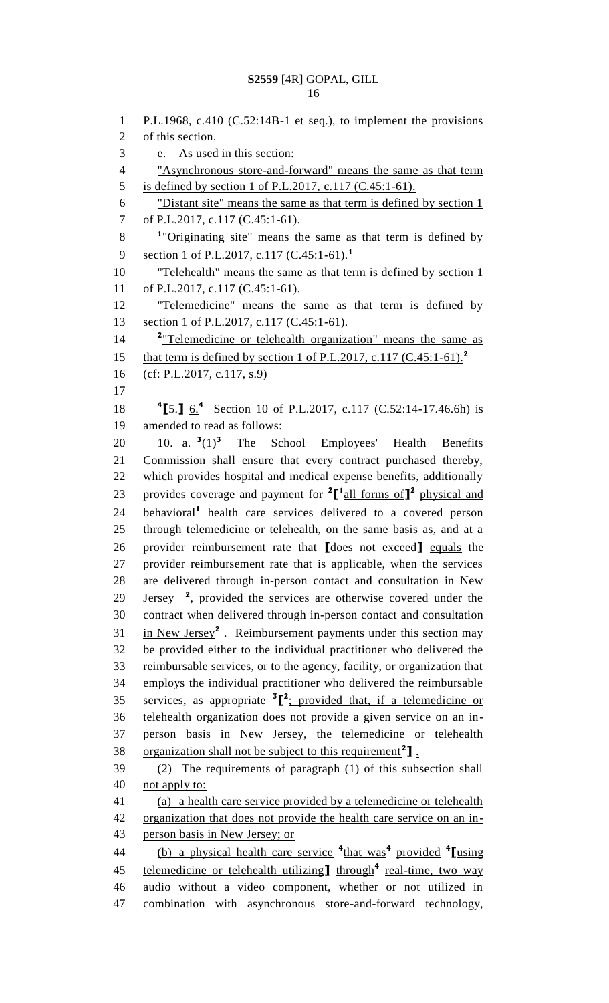P.L.1968, c.410 (C.52:14B-1 et seq.), to implement the provisions of this section. e. As used in this section: "Asynchronous store-and-forward" means the same as that term is defined by section 1 of P.L.2017, c.117 (C.45:1-61). "Distant site" means the same as that term is defined by section 1 7 of P.L.2017, c.117 (C.45:1-61). <sup>1</sup> "Originating site" means the same as that term is defined by section 1 of P.L.2017, c.117 (C.45:1-61).**<sup>1</sup>** "Telehealth" means the same as that term is defined by section 1 of P.L.2017, c.117 (C.45:1-61). "Telemedicine" means the same as that term is defined by 13 section 1 of P.L.2017, c.117 (C.45:1-61). 14 <sup>2</sup> Telemedicine or telehealth organization" means the same as that term is defined by section 1 of P.L.2017, c.117 (C.45:1-61).**<sup>2</sup>** (cf: P.L.2017, c.117, s.9) **[**5.**]** 6.**<sup>4</sup>** 18 Section 10 of P.L.2017, c.117 (C.52:14-17.46.6h) is amended to read as follows:  $10.$  a.  $\frac{3(1)^3}{2}$  The School Employees' Health Benefits Commission shall ensure that every contract purchased thereby, which provides hospital and medical expense benefits, additionally provides coverage and payment for **<sup>2</sup> [ 1** all forms of**] 2** physical and **behavioral<sup>1</sup>** health care services delivered to a covered person through telemedicine or telehealth, on the same basis as, and at a provider reimbursement rate that **[**does not exceed**]** equals the provider reimbursement rate that is applicable, when the services are delivered through in-person contact and consultation in New 29 Jersey <sup>2</sup>, provided the services are otherwise covered under the contract when delivered through in-person contact and consultation 31 in New Jersey<sup>2</sup>. Reimbursement payments under this section may be provided either to the individual practitioner who delivered the reimbursable services, or to the agency, facility, or organization that employs the individual practitioner who delivered the reimbursable 35 services, as appropriate  ${}^{3}$  $[$ <sup>2</sup>; provided that, if a telemedicine or telehealth organization does not provide a given service on an in- person basis in New Jersey, the telemedicine or telehealth 38 organization shall not be subject to this requirement<sup>2</sup>]. (2) The requirements of paragraph (1) of this subsection shall not apply to: (a) a health care service provided by a telemedicine or telehealth organization that does not provide the health care service on an in- person basis in New Jersey; or (b) a physical health care service **<sup>4</sup>** that was**<sup>4</sup>** provided **<sup>4</sup> [**using 45 telemedicine or telehealth utilizing through<sup>4</sup> real-time, two way audio without a video component, whether or not utilized in combination with asynchronous store-and-forward technology,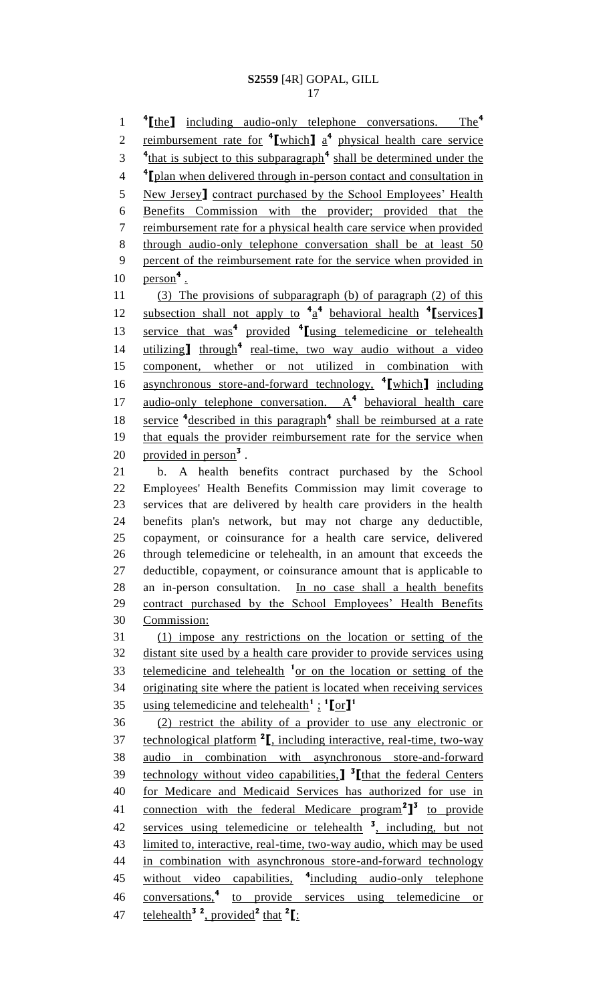**[**the**]** including audio-only telephone conversations. The**<sup>4</sup>** 2 reimbursement rate for  $\frac{4}{\pi}$  which a  $\frac{4}{\pi}$  physical health care service <sup>4</sup>that is subject to this subparagraph<sup>4</sup> shall be determined under the <sup>4</sup> <sup>4</sup> **plan when delivered through in-person contact and consultation in**  New Jersey**]** contract purchased by the School Employees' Health Benefits Commission with the provider; provided that the 7 reimbursement rate for a physical health care service when provided through audio-only telephone conversation shall be at least 50 percent of the reimbursement rate for the service when provided in **person<sup>4</sup>**. (3) The provisions of subparagraph (b) of paragraph (2) of this **subsection shall not apply to**  $4a^4$  **behavioral health**  $4$  **[services] service that was<sup>4</sup> provided <sup>4</sup>** [using telemedicine or telehealth 14 utilizing] through<sup>4</sup> real-time, two way audio without a video component, whether or not utilized in combination with asynchronous store-and-forward technology, **<sup>4</sup> [**which**]** including 17 audio-only telephone conversation. A<sup>4</sup> behavioral health care 18 service <sup>4</sup>described in this paragraph<sup>4</sup> shall be reimbursed at a rate that equals the provider reimbursement rate for the service when 20 provided in person<sup>3</sup>. b. A health benefits contract purchased by the School Employees' Health Benefits Commission may limit coverage to services that are delivered by health care providers in the health benefits plan's network, but may not charge any deductible, copayment, or coinsurance for a health care service, delivered through telemedicine or telehealth, in an amount that exceeds the deductible, copayment, or coinsurance amount that is applicable to an in-person consultation. In no case shall a health benefits 29 contract purchased by the School Employees' Health Benefits Commission: (1) impose any restrictions on the location or setting of the distant site used by a health care provider to provide services using 33 telemedicine and telehealth <sup>1</sup> or on the location or setting of the originating site where the patient is located when receiving services using telemedicine and telehealth**<sup>1</sup>** ; **1 [**or**] 1** (2) restrict the ability of a provider to use any electronic or

37 technological platform <sup>2</sup>, including interactive, real-time, two-way audio in combination with asynchronous store-and-forward technology without video capabilities,**] 3 [**that the federal Centers for Medicare and Medicaid Services has authorized for use in 41 connection with the federal Medicare program<sup>2</sup><sup>3</sup> to provide 42 services using telemedicine or telehealth <sup>3</sup>, including, but not limited to, interactive, real-time, two-way audio, which may be used in combination with asynchronous store-and-forward technology 45 without video capabilities, <sup>4</sup>including audio-only telephone 46 conversations,<sup>4</sup> to provide services using telemedicine or telehealth**<sup>3</sup> <sup>2</sup>** , provided**<sup>2</sup>** that **<sup>2</sup> [**: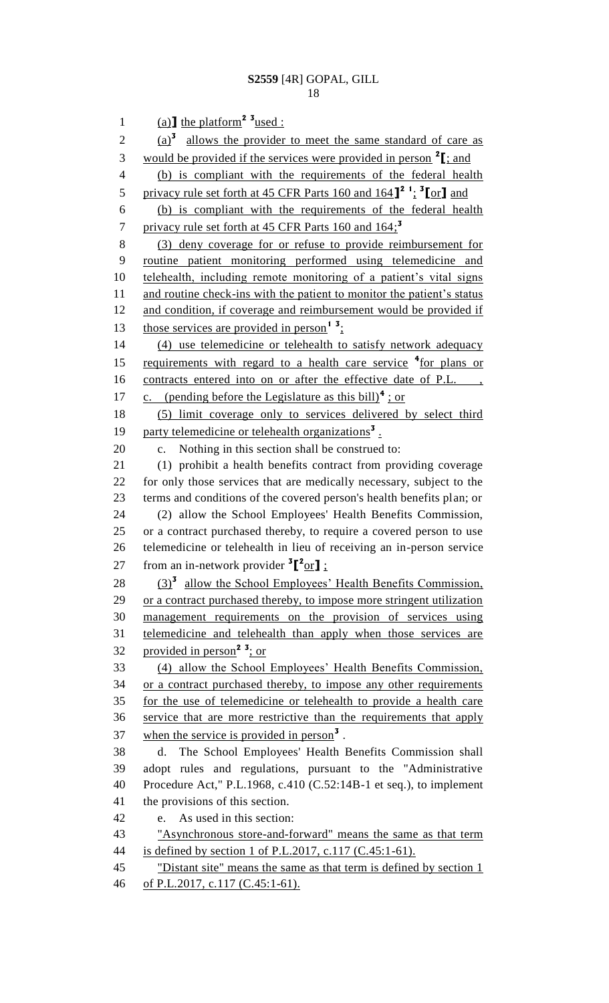1 (a)  $\text{I}$  the platform<sup>2</sup> <sup>3</sup> used :  $\frac{a}{3}$  allows the provider to meet the same standard of care as would be provided if the services were provided in person **<sup>2</sup> [**; and (b) is compliant with the requirements of the federal health privacy rule set forth at 45 CFR Parts 160 and 164**] 2 1** ; **3 [**or**]** and (b) is compliant with the requirements of the federal health privacy rule set forth at 45 CFR Parts 160 and 164; **3** (3) deny coverage for or refuse to provide reimbursement for routine patient monitoring performed using telemedicine and telehealth, including remote monitoring of a patient's vital signs 11 and routine check-ins with the patient to monitor the patient's status 12 and condition, if coverage and reimbursement would be provided if 13 those services are provided in person<sup>1</sup><sup>3</sup>; (4) use telemedicine or telehealth to satisfy network adequacy 15 requirements with regard to a health care service <sup>4</sup> for plans or 16 contracts entered into on or after the effective date of P.L., 17 c. (pending before the Legislature as this bill)<sup>4</sup>; or (5) limit coverage only to services delivered by select third 19 party telemedicine or telehealth organizations<sup>3</sup>. c. Nothing in this section shall be construed to: (1) prohibit a health benefits contract from providing coverage for only those services that are medically necessary, subject to the terms and conditions of the covered person's health benefits plan; or (2) allow the School Employees' Health Benefits Commission, or a contract purchased thereby, to require a covered person to use telemedicine or telehealth in lieu of receiving an in-person service 27 from an in-network provider  ${}^{3}$  $[{}^{2}$ or**]** ; 28 (3)<sup>3</sup> allow the School Employees' Health Benefits Commission, or a contract purchased thereby, to impose more stringent utilization management requirements on the provision of services using telemedicine and telehealth than apply when those services are provided in person**<sup>2</sup> <sup>3</sup>** ; or (4) allow the School Employees' Health Benefits Commission, 34 or a contract purchased thereby, to impose any other requirements for the use of telemedicine or telehealth to provide a health care service that are more restrictive than the requirements that apply 37 when the service is provided in person<sup>3</sup>. d. The School Employees' Health Benefits Commission shall adopt rules and regulations, pursuant to the "Administrative Procedure Act," P.L.1968, c.410 (C.52:14B-1 et seq.), to implement the provisions of this section. e. As used in this section: "Asynchronous store-and-forward" means the same as that term is defined by section 1 of P.L.2017, c.117 (C.45:1-61). 45 "Distant site" means the same as that term is defined by section 1 of P.L.2017, c.117 (C.45:1-61).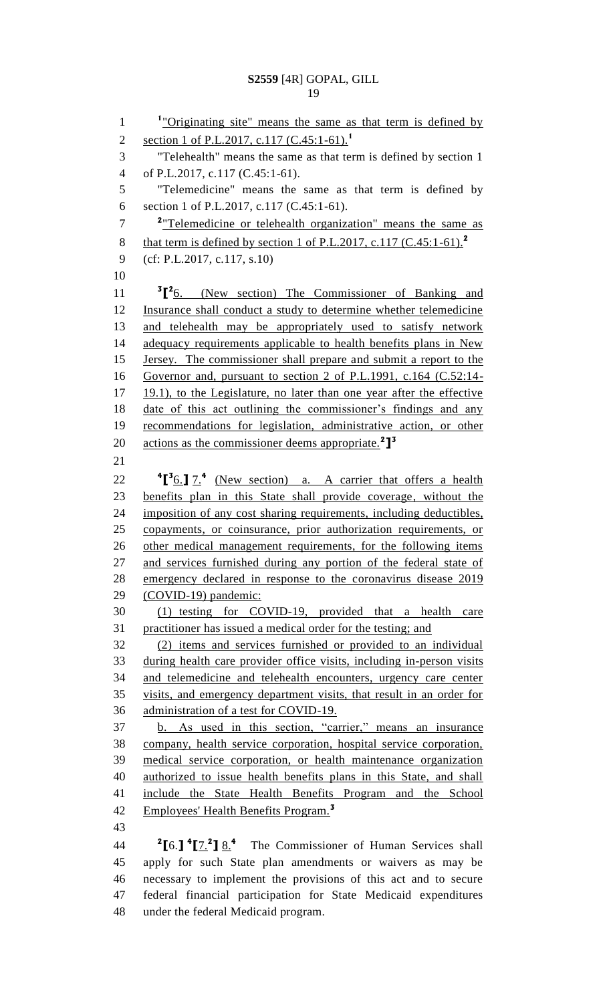1 <sup>1</sup>"Originating site" means the same as that term is defined by section 1 of P.L.2017, c.117 (C.45:1-61).**<sup>1</sup>** "Telehealth" means the same as that term is defined by section 1 of P.L.2017, c.117 (C.45:1-61). "Telemedicine" means the same as that term is defined by section 1 of P.L.2017, c.117 (C.45:1-61). <sup>2</sup> Telemedicine or telehealth organization" means the same as that term is defined by section 1 of P.L.2017, c.117 (C.45:1-61).**<sup>2</sup>** (cf: P.L.2017, c.117, s.10) 11 <sup>3</sup><sup>[2</sup>6. (New section) The Commissioner of Banking and Insurance shall conduct a study to determine whether telemedicine 13 and telehealth may be appropriately used to satisfy network 14 adequacy requirements applicable to health benefits plans in New Jersey. The commissioner shall prepare and submit a report to the Governor and, pursuant to section 2 of P.L.1991, c.164 (C.52:14- 17 19.1), to the Legislature, no later than one year after the effective date of this act outlining the commissioner's findings and any recommendations for legislation, administrative action, or other actions as the commissioner deems appropriate.**<sup>2</sup> ] 3 [ 3** 6.**]** 7.**<sup>4</sup>** (New section) a. A carrier that offers a health benefits plan in this State shall provide coverage, without the imposition of any cost sharing requirements, including deductibles, copayments, or coinsurance, prior authorization requirements, or 26 other medical management requirements, for the following items 27 and services furnished during any portion of the federal state of emergency declared in response to the coronavirus disease 2019 (COVID-19) pandemic: (1) testing for COVID-19, provided that a health care practitioner has issued a medical order for the testing; and (2) items and services furnished or provided to an individual during health care provider office visits, including in-person visits and telemedicine and telehealth encounters, urgency care center visits, and emergency department visits, that result in an order for administration of a test for COVID-19. b. As used in this section, "carrier," means an insurance company, health service corporation, hospital service corporation, medical service corporation, or health maintenance organization authorized to issue health benefits plans in this State, and shall include the State Health Benefits Program and the School Employees' Health Benefits Program.**<sup>3</sup> [**6.**] 4 [**7.**<sup>2</sup> ]** 8.**<sup>4</sup>** The Commissioner of Human Services shall apply for such State plan amendments or waivers as may be necessary to implement the provisions of this act and to secure federal financial participation for State Medicaid expenditures

under the federal Medicaid program.